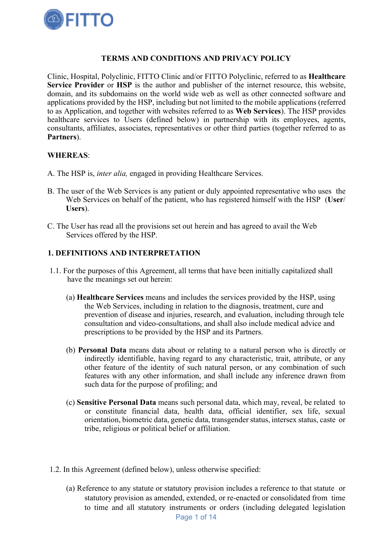

# TERMS AND CONDITIONS AND PRIVACY POLICY

Clinic, Hospital, Polyclinic, FITTO Clinic and/or FITTO Polyclinic, referred to as Healthcare Service Provider or HSP is the author and publisher of the internet resource, this website, domain, and its subdomains on the world wide web as well as other connected software and applications provided by the HSP, including but not limited to the mobile applications (referred to as Application, and together with websites referred to as Web Services). The HSP provides healthcare services to Users (defined below) in partnership with its employees, agents, consultants, affiliates, associates, representatives or other third parties (together referred to as Partners).

#### WHEREAS:

- A. The HSP is, inter alia, engaged in providing Healthcare Services.
- B. The user of the Web Services is any patient or duly appointed representative who uses the Web Services on behalf of the patient, who has registered himself with the HSP (User/ Users).
- C. The User has read all the provisions set out herein and has agreed to avail the Web Services offered by the HSP.

### 1. DEFINITIONS AND INTERPRETATION

- 1.1. For the purposes of this Agreement, all terms that have been initially capitalized shall have the meanings set out herein:
	- (a) Healthcare Services means and includes the services provided by the HSP, using the Web Services, including in relation to the diagnosis, treatment, cure and prevention of disease and injuries, research, and evaluation, including through tele consultation and video-consultations, and shall also include medical advice and prescriptions to be provided by the HSP and its Partners.
	- (b) Personal Data means data about or relating to a natural person who is directly or indirectly identifiable, having regard to any characteristic, trait, attribute, or any other feature of the identity of such natural person, or any combination of such features with any other information, and shall include any inference drawn from such data for the purpose of profiling; and
	- (c) Sensitive Personal Data means such personal data, which may, reveal, be related to or constitute financial data, health data, official identifier, sex life, sexual orientation, biometric data, genetic data, transgender status, intersex status, caste or tribe, religious or political belief or affiliation.
- 1.2. In this Agreement (defined below), unless otherwise specified:
	- (a) Reference to any statute or statutory provision includes a reference to that statute or statutory provision as amended, extended, or re-enacted or consolidated from time to time and all statutory instruments or orders (including delegated legislation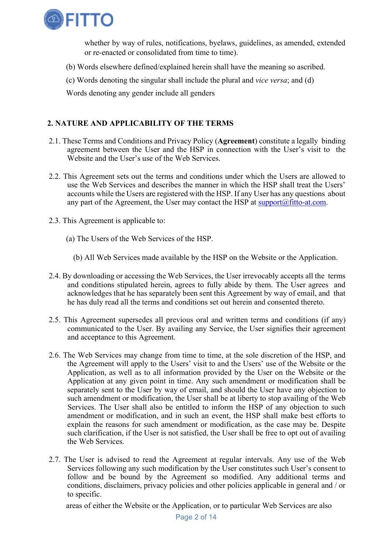

whether by way of rules, notifications, byelaws, guidelines, as amended, extended or re-enacted or consolidated from time to time).

- (b) Words elsewhere defined/explained herein shall have the meaning so ascribed.
- (c) Words denoting the singular shall include the plural and vice versa; and (d)

Words denoting any gender include all genders

# 2. NATURE AND APPLICABILITY OF THE TERMS

- 2.1. These Terms and Conditions and Privacy Policy (Agreement) constitute a legally binding agreement between the User and the HSP in connection with the User's visit to the Website and the User's use of the Web Services.
- 2.2. This Agreement sets out the terms and conditions under which the Users are allowed to use the Web Services and describes the manner in which the HSP shall treat the Users' accounts while the Users are registered with the HSP. If any User has any questions about any part of the Agreement, the User may contact the HSP at  $\frac{\text{support}(a)}{\text{fitto}-at.com}$ .
- 2.3. This Agreement is applicable to:
	- (a) The Users of the Web Services of the HSP.
		- (b) All Web Services made available by the HSP on the Website or the Application.
- 2.4. By downloading or accessing the Web Services, the User irrevocably accepts all the terms and conditions stipulated herein, agrees to fully abide by them. The User agrees and acknowledges that he has separately been sent this Agreement by way of email, and that he has duly read all the terms and conditions set out herein and consented thereto.
- 2.5. This Agreement supersedes all previous oral and written terms and conditions (if any) communicated to the User. By availing any Service, the User signifies their agreement and acceptance to this Agreement.
- 2.6. The Web Services may change from time to time, at the sole discretion of the HSP, and the Agreement will apply to the Users' visit to and the Users' use of the Website or the Application, as well as to all information provided by the User on the Website or the Application at any given point in time. Any such amendment or modification shall be separately sent to the User by way of email, and should the User have any objection to such amendment or modification, the User shall be at liberty to stop availing of the Web Services. The User shall also be entitled to inform the HSP of any objection to such amendment or modification, and in such an event, the HSP shall make best efforts to explain the reasons for such amendment or modification, as the case may be. Despite such clarification, if the User is not satisfied, the User shall be free to opt out of availing the Web Services.
- 2.7. The User is advised to read the Agreement at regular intervals. Any use of the Web Services following any such modification by the User constitutes such User's consent to follow and be bound by the Agreement so modified. Any additional terms and conditions, disclaimers, privacy policies and other policies applicable in general and / or to specific.

areas of either the Website or the Application, or to particular Web Services are also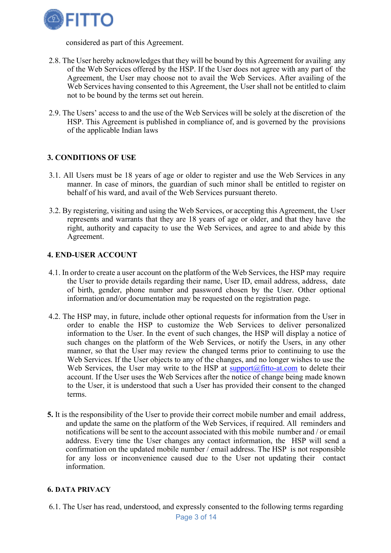

considered as part of this Agreement.

- 2.8. The User hereby acknowledges that they will be bound by this Agreement for availing any of the Web Services offered by the HSP. If the User does not agree with any part of the Agreement, the User may choose not to avail the Web Services. After availing of the Web Services having consented to this Agreement, the User shall not be entitled to claim not to be bound by the terms set out herein.
- 2.9. The Users' access to and the use of the Web Services will be solely at the discretion of the HSP. This Agreement is published in compliance of, and is governed by the provisions of the applicable Indian laws

# 3. CONDITIONS OF USE

- 3.1. All Users must be 18 years of age or older to register and use the Web Services in any manner. In case of minors, the guardian of such minor shall be entitled to register on behalf of his ward, and avail of the Web Services pursuant thereto.
- 3.2. By registering, visiting and using the Web Services, or accepting this Agreement, the User represents and warrants that they are 18 years of age or older, and that they have the right, authority and capacity to use the Web Services, and agree to and abide by this Agreement.

### 4. END-USER ACCOUNT

- 4.1. In order to create a user account on the platform of the Web Services, the HSP may require the User to provide details regarding their name, User ID, email address, address, date of birth, gender, phone number and password chosen by the User. Other optional information and/or documentation may be requested on the registration page.
- 4.2. The HSP may, in future, include other optional requests for information from the User in order to enable the HSP to customize the Web Services to deliver personalized information to the User. In the event of such changes, the HSP will display a notice of such changes on the platform of the Web Services, or notify the Users, in any other manner, so that the User may review the changed terms prior to continuing to use the Web Services. If the User objects to any of the changes, and no longer wishes to use the Web Services, the User may write to the HSP at  $\frac{\text{support}(a)\text{fitto-at.com}}{\text{support}(a)\text{fitto-at.com}}$  to delete their account. If the User uses the Web Services after the notice of change being made known to the User, it is understood that such a User has provided their consent to the changed terms.
- 5. It is the responsibility of the User to provide their correct mobile number and email address, and update the same on the platform of the Web Services, if required. All reminders and notifications will be sent to the account associated with this mobile number and / or email address. Every time the User changes any contact information, the HSP will send a confirmation on the updated mobile number / email address. The HSP is not responsible for any loss or inconvenience caused due to the User not updating their contact information.

#### 6. DATA PRIVACY

6.1. The User has read, understood, and expressly consented to the following terms regarding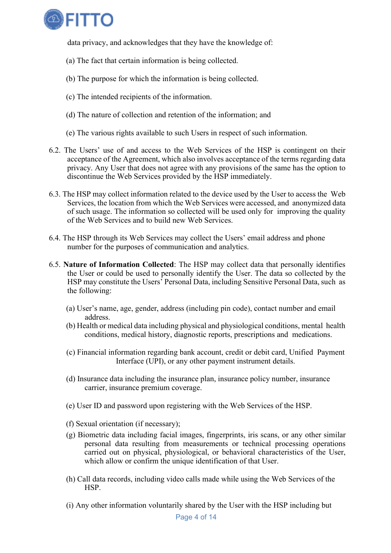

data privacy, and acknowledges that they have the knowledge of:

- (a) The fact that certain information is being collected.
- (b) The purpose for which the information is being collected.
- (c) The intended recipients of the information.
- (d) The nature of collection and retention of the information; and
- (e) The various rights available to such Users in respect of such information.
- 6.2. The Users' use of and access to the Web Services of the HSP is contingent on their acceptance of the Agreement, which also involves acceptance of the terms regarding data privacy. Any User that does not agree with any provisions of the same has the option to discontinue the Web Services provided by the HSP immediately.
- 6.3. The HSP may collect information related to the device used by the User to access the Web Services, the location from which the Web Services were accessed, and anonymized data of such usage. The information so collected will be used only for improving the quality of the Web Services and to build new Web Services.
- 6.4. The HSP through its Web Services may collect the Users' email address and phone number for the purposes of communication and analytics.
- 6.5. Nature of Information Collected: The HSP may collect data that personally identifies the User or could be used to personally identify the User. The data so collected by the HSP may constitute the Users' Personal Data, including Sensitive Personal Data, such as the following:
	- (a) User's name, age, gender, address (including pin code), contact number and email address.
	- (b) Health or medical data including physical and physiological conditions, mental health conditions, medical history, diagnostic reports, prescriptions and medications.
	- (c) Financial information regarding bank account, credit or debit card, Unified Payment Interface (UPI), or any other payment instrument details.
	- (d) Insurance data including the insurance plan, insurance policy number, insurance carrier, insurance premium coverage.
	- (e) User ID and password upon registering with the Web Services of the HSP.
	- (f) Sexual orientation (if necessary);
	- (g) Biometric data including facial images, fingerprints, iris scans, or any other similar personal data resulting from measurements or technical processing operations carried out on physical, physiological, or behavioral characteristics of the User, which allow or confirm the unique identification of that User.
	- (h) Call data records, including video calls made while using the Web Services of the HSP.
	- (i) Any other information voluntarily shared by the User with the HSP including but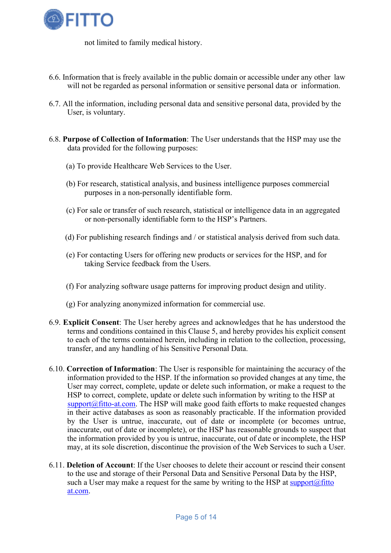

not limited to family medical history.

- 6.6. Information that is freely available in the public domain or accessible under any other law will not be regarded as personal information or sensitive personal data or information.
- 6.7. All the information, including personal data and sensitive personal data, provided by the User, is voluntary.
- 6.8. Purpose of Collection of Information: The User understands that the HSP may use the data provided for the following purposes:
	- (a) To provide Healthcare Web Services to the User.
	- (b) For research, statistical analysis, and business intelligence purposes commercial purposes in a non-personally identifiable form.
	- (c) For sale or transfer of such research, statistical or intelligence data in an aggregated or non-personally identifiable form to the HSP's Partners.
	- (d) For publishing research findings and / or statistical analysis derived from such data.
	- (e) For contacting Users for offering new products or services for the HSP, and for taking Service feedback from the Users.
	- (f) For analyzing software usage patterns for improving product design and utility.
	- (g) For analyzing anonymized information for commercial use.
- 6.9. Explicit Consent: The User hereby agrees and acknowledges that he has understood the terms and conditions contained in this Clause 5, and hereby provides his explicit consent to each of the terms contained herein, including in relation to the collection, processing, transfer, and any handling of his Sensitive Personal Data.
- 6.10. Correction of Information: The User is responsible for maintaining the accuracy of the information provided to the HSP. If the information so provided changes at any time, the User may correct, complete, update or delete such information, or make a request to the HSP to correct, complete, update or delete such information by writing to the HSP at  $support@fitto-at.com$ . The HSP will make good faith efforts to make requested changes in their active databases as soon as reasonably practicable. If the information provided by the User is untrue, inaccurate, out of date or incomplete (or becomes untrue, inaccurate, out of date or incomplete), or the HSP has reasonable grounds to suspect that the information provided by you is untrue, inaccurate, out of date or incomplete, the HSP may, at its sole discretion, discontinue the provision of the Web Services to such a User.
- 6.11. Deletion of Account: If the User chooses to delete their account or rescind their consent to the use and storage of their Personal Data and Sensitive Personal Data by the HSP, such a User may make a request for the same by writing to the HSP at support $(a)$  fitto at.com.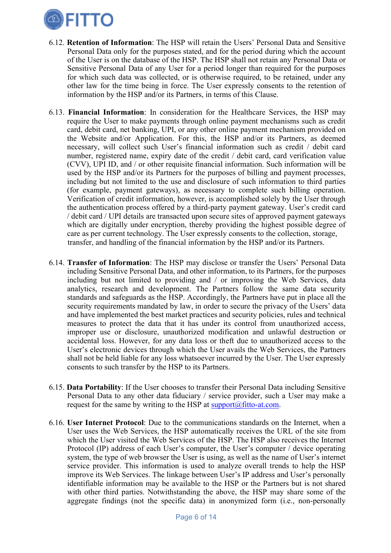

- 6.12. Retention of Information: The HSP will retain the Users' Personal Data and Sensitive Personal Data only for the purposes stated, and for the period during which the account of the User is on the database of the HSP. The HSP shall not retain any Personal Data or Sensitive Personal Data of any User for a period longer than required for the purposes for which such data was collected, or is otherwise required, to be retained, under any other law for the time being in force. The User expressly consents to the retention of information by the HSP and/or its Partners, in terms of this Clause.
- 6.13. Financial Information: In consideration for the Healthcare Services, the HSP may require the User to make payments through online payment mechanisms such as credit card, debit card, net banking, UPI, or any other online payment mechanism provided on the Website and/or Application. For this, the HSP and/or its Partners, as deemed necessary, will collect such User's financial information such as credit / debit card number, registered name, expiry date of the credit / debit card, card verification value (CVV), UPI ID, and / or other requisite financial information. Such information will be used by the HSP and/or its Partners for the purposes of billing and payment processes, including but not limited to the use and disclosure of such information to third parties (for example, payment gateways), as necessary to complete such billing operation. Verification of credit information, however, is accomplished solely by the User through the authentication process offered by a third-party payment gateway. User's credit card / debit card / UPI details are transacted upon secure sites of approved payment gateways which are digitally under encryption, thereby providing the highest possible degree of care as per current technology. The User expressly consents to the collection, storage, transfer, and handling of the financial information by the HSP and/or its Partners.
- 6.14. Transfer of Information: The HSP may disclose or transfer the Users' Personal Data including Sensitive Personal Data, and other information, to its Partners, for the purposes including but not limited to providing and / or improving the Web Services, data analytics, research and development. The Partners follow the same data security standards and safeguards as the HSP. Accordingly, the Partners have put in place all the security requirements mandated by law, in order to secure the privacy of the Users' data and have implemented the best market practices and security policies, rules and technical measures to protect the data that it has under its control from unauthorized access, improper use or disclosure, unauthorized modification and unlawful destruction or accidental loss. However, for any data loss or theft due to unauthorized access to the User's electronic devices through which the User avails the Web Services, the Partners shall not be held liable for any loss whatsoever incurred by the User. The User expressly consents to such transfer by the HSP to its Partners.
- 6.15. Data Portability: If the User chooses to transfer their Personal Data including Sensitive Personal Data to any other data fiduciary / service provider, such a User may make a request for the same by writing to the HSP at  $\frac{\text{support}(a)}{\text{fitto}-at.com}$ .
- 6.16. User Internet Protocol: Due to the communications standards on the Internet, when a User uses the Web Services, the HSP automatically receives the URL of the site from which the User visited the Web Services of the HSP. The HSP also receives the Internet Protocol (IP) address of each User's computer, the User's computer / device operating system, the type of web browser the User is using, as well as the name of User's internet service provider. This information is used to analyze overall trends to help the HSP improve its Web Services. The linkage between User's IP address and User's personally identifiable information may be available to the HSP or the Partners but is not shared with other third parties. Notwithstanding the above, the HSP may share some of the aggregate findings (not the specific data) in anonymized form (i.e., non-personally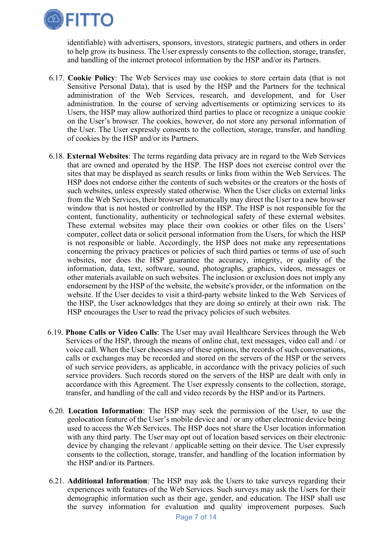

identifiable) with advertisers, sponsors, investors, strategic partners, and others in order to help grow its business. The User expressly consents to the collection, storage, transfer, and handling of the internet protocol information by the HSP and/or its Partners.

- 6.17. Cookie Policy: The Web Services may use cookies to store certain data (that is not Sensitive Personal Data), that is used by the HSP and the Partners for the technical administration of the Web Services, research, and development, and for User administration. In the course of serving advertisements or optimizing services to its Users, the HSP may allow authorized third parties to place or recognize a unique cookie on the User's browser. The cookies, however, do not store any personal information of the User. The User expressly consents to the collection, storage, transfer, and handling of cookies by the HSP and/or its Partners.
- 6.18. External Websites: The terms regarding data privacy are in regard to the Web Services that are owned and operated by the HSP. The HSP does not exercise control over the sites that may be displayed as search results or links from within the Web Services. The HSP does not endorse either the contents of such websites or the creators or the hosts of such websites, unless expressly stated otherwise. When the User clicks on external links from the Web Services, their browser automatically may direct the User to a new browser window that is not hosted or controlled by the HSP. The HSP is not responsible for the content, functionality, authenticity or technological safety of these external websites. These external websites may place their own cookies or other files on the Users' computer, collect data or solicit personal information from the Users, for which the HSP is not responsible or liable. Accordingly, the HSP does not make any representations concerning the privacy practices or policies of such third parties or terms of use of such websites, nor does the HSP guarantee the accuracy, integrity, or quality of the information, data, text, software, sound, photographs, graphics, videos, messages or other materials available on such websites. The inclusion or exclusion does not imply any endorsement by the HSP of the website, the website's provider, or the information on the website. If the User decides to visit a third-party website linked to the Web Services of the HSP, the User acknowledges that they are doing so entirely at their own risk. The HSP encourages the User to read the privacy policies of such websites.
- 6.19. Phone Calls or Video Calls: The User may avail Healthcare Services through the Web Services of the HSP, through the means of online chat, text messages, video call and / or voice call. When the User chooses any of these options, the records of such conversations, calls or exchanges may be recorded and stored on the servers of the HSP or the servers of such service providers, as applicable, in accordance with the privacy policies of such service providers. Such records stored on the servers of the HSP are dealt with only in accordance with this Agreement. The User expressly consents to the collection, storage, transfer, and handling of the call and video records by the HSP and/or its Partners.
- 6.20. Location Information: The HSP may seek the permission of the User, to use the geolocation feature of the User's mobile device and / or any other electronic device being used to access the Web Services. The HSP does not share the User location information with any third party. The User may opt out of location based services on their electronic device by changing the relevant / applicable setting on their device. The User expressly consents to the collection, storage, transfer, and handling of the location information by the HSP and/or its Partners.
- 6.21. Additional Information: The HSP may ask the Users to take surveys regarding their experiences with features of the Web Services. Such surveys may ask the Users for their demographic information such as their age, gender, and education. The HSP shall use the survey information for evaluation and quality improvement purposes. Such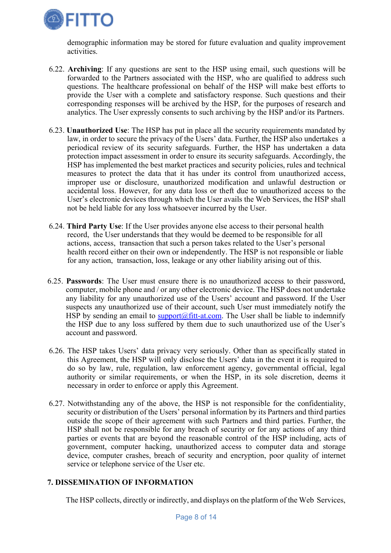

demographic information may be stored for future evaluation and quality improvement activities.

- 6.22. Archiving: If any questions are sent to the HSP using email, such questions will be forwarded to the Partners associated with the HSP, who are qualified to address such questions. The healthcare professional on behalf of the HSP will make best efforts to provide the User with a complete and satisfactory response. Such questions and their corresponding responses will be archived by the HSP, for the purposes of research and analytics. The User expressly consents to such archiving by the HSP and/or its Partners.
- 6.23. Unauthorized Use: The HSP has put in place all the security requirements mandated by law, in order to secure the privacy of the Users' data. Further, the HSP also undertakes a periodical review of its security safeguards. Further, the HSP has undertaken a data protection impact assessment in order to ensure its security safeguards. Accordingly, the HSP has implemented the best market practices and security policies, rules and technical measures to protect the data that it has under its control from unauthorized access, improper use or disclosure, unauthorized modification and unlawful destruction or accidental loss. However, for any data loss or theft due to unauthorized access to the User's electronic devices through which the User avails the Web Services, the HSP shall not be held liable for any loss whatsoever incurred by the User.
- 6.24. Third Party Use: If the User provides anyone else access to their personal health record, the User understands that they would be deemed to be responsible for all actions, access, transaction that such a person takes related to the User's personal health record either on their own or independently. The HSP is not responsible or liable for any action, transaction, loss, leakage or any other liability arising out of this.
- 6.25. Passwords: The User must ensure there is no unauthorized access to their password, computer, mobile phone and / or any other electronic device. The HSP does not undertake any liability for any unauthorized use of the Users' account and password. If the User suspects any unauthorized use of their account, such User must immediately notify the HSP by sending an email to support@fitt-at.com. The User shall be liable to indemnify the HSP due to any loss suffered by them due to such unauthorized use of the User's account and password.
- 6.26. The HSP takes Users' data privacy very seriously. Other than as specifically stated in this Agreement, the HSP will only disclose the Users' data in the event it is required to do so by law, rule, regulation, law enforcement agency, governmental official, legal authority or similar requirements, or when the HSP, in its sole discretion, deems it necessary in order to enforce or apply this Agreement.
- 6.27. Notwithstanding any of the above, the HSP is not responsible for the confidentiality, security or distribution of the Users' personal information by its Partners and third parties outside the scope of their agreement with such Partners and third parties. Further, the HSP shall not be responsible for any breach of security or for any actions of any third parties or events that are beyond the reasonable control of the HSP including, acts of government, computer hacking, unauthorized access to computer data and storage device, computer crashes, breach of security and encryption, poor quality of internet service or telephone service of the User etc.

# 7. DISSEMINATION OF INFORMATION

The HSP collects, directly or indirectly, and displays on the platform of the Web Services,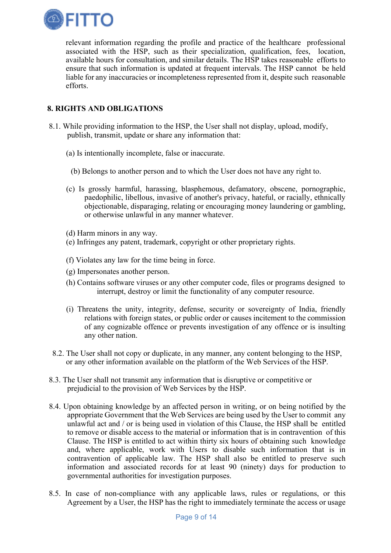

relevant information regarding the profile and practice of the healthcare professional associated with the HSP, such as their specialization, qualification, fees, location, available hours for consultation, and similar details. The HSP takes reasonable efforts to ensure that such information is updated at frequent intervals. The HSP cannot be held liable for any inaccuracies or incompleteness represented from it, despite such reasonable efforts.

# 8. RIGHTS AND OBLIGATIONS

- 8.1. While providing information to the HSP, the User shall not display, upload, modify, publish, transmit, update or share any information that:
	- (a) Is intentionally incomplete, false or inaccurate.
	- (b) Belongs to another person and to which the User does not have any right to.
	- (c) Is grossly harmful, harassing, blasphemous, defamatory, obscene, pornographic, paedophilic, libellous, invasive of another's privacy, hateful, or racially, ethnically objectionable, disparaging, relating or encouraging money laundering or gambling, or otherwise unlawful in any manner whatever.
	- (d) Harm minors in any way.
	- (e) Infringes any patent, trademark, copyright or other proprietary rights.
	- (f) Violates any law for the time being in force.
	- (g) Impersonates another person.
	- (h) Contains software viruses or any other computer code, files or programs designed to interrupt, destroy or limit the functionality of any computer resource.
	- (i) Threatens the unity, integrity, defense, security or sovereignty of India, friendly relations with foreign states, or public order or causes incitement to the commission of any cognizable offence or prevents investigation of any offence or is insulting any other nation.
- 8.2. The User shall not copy or duplicate, in any manner, any content belonging to the HSP, or any other information available on the platform of the Web Services of the HSP.
- 8.3. The User shall not transmit any information that is disruptive or competitive or prejudicial to the provision of Web Services by the HSP.
- 8.4. Upon obtaining knowledge by an affected person in writing, or on being notified by the appropriate Government that the Web Services are being used by the User to commit any unlawful act and / or is being used in violation of this Clause, the HSP shall be entitled to remove or disable access to the material or information that is in contravention of this Clause. The HSP is entitled to act within thirty six hours of obtaining such knowledge and, where applicable, work with Users to disable such information that is in contravention of applicable law. The HSP shall also be entitled to preserve such information and associated records for at least 90 (ninety) days for production to governmental authorities for investigation purposes.
- 8.5. In case of non-compliance with any applicable laws, rules or regulations, or this Agreement by a User, the HSP has the right to immediately terminate the access or usage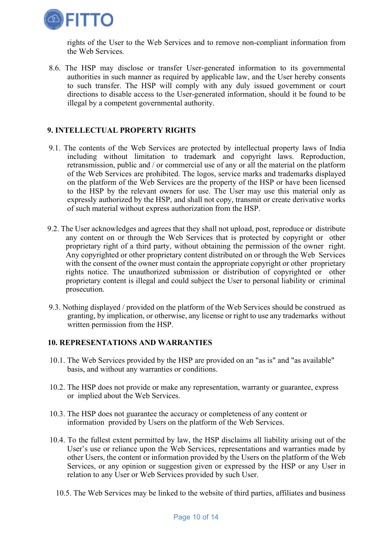

rights of the User to the Web Services and to remove non-compliant information from the Web Services.

8.6. The HSP may disclose or transfer User-generated information to its governmental authorities in such manner as required by applicable law, and the User hereby consents to such transfer. The HSP will comply with any duly issued government or court directions to disable access to the User-generated information, should it be found to be illegal by a competent governmental authority.

# 9. INTELLECTUAL PROPERTY RIGHTS

- 9.1. The contents of the Web Services are protected by intellectual property laws of India including without limitation to trademark and copyright laws. Reproduction, retransmission, public and / or commercial use of any or all the material on the platform of the Web Services are prohibited. The logos, service marks and trademarks displayed on the platform of the Web Services are the property of the HSP or have been licensed to the HSP by the relevant owners for use. The User may use this material only as expressly authorized by the HSP, and shall not copy, transmit or create derivative works of such material without express authorization from the HSP.
- 9.2. The User acknowledges and agrees that they shall not upload, post, reproduce or distribute any content on or through the Web Services that is protected by copyright or other proprietary right of a third party, without obtaining the permission of the owner right. Any copyrighted or other proprietary content distributed on or through the Web Services with the consent of the owner must contain the appropriate copyright or other proprietary rights notice. The unauthorized submission or distribution of copyrighted or other proprietary content is illegal and could subject the User to personal liability or criminal prosecution.
- 9.3. Nothing displayed / provided on the platform of the Web Services should be construed as granting, by implication, or otherwise, any license or right to use any trademarks without written permission from the HSP.

#### 10. REPRESENTATIONS AND WARRANTIES

- 10.1. The Web Services provided by the HSP are provided on an "as is" and "as available" basis, and without any warranties or conditions.
- 10.2. The HSP does not provide or make any representation, warranty or guarantee, express or implied about the Web Services.
- 10.3. The HSP does not guarantee the accuracy or completeness of any content or information provided by Users on the platform of the Web Services.
- 10.4. To the fullest extent permitted by law, the HSP disclaims all liability arising out of the User's use or reliance upon the Web Services, representations and warranties made by other Users, the content or information provided by the Users on the platform of the Web Services, or any opinion or suggestion given or expressed by the HSP or any User in relation to any User or Web Services provided by such User.
	- 10.5. The Web Services may be linked to the website of third parties, affiliates and business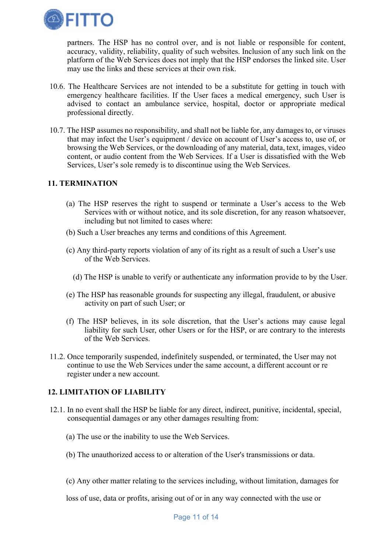

partners. The HSP has no control over, and is not liable or responsible for content, accuracy, validity, reliability, quality of such websites. Inclusion of any such link on the platform of the Web Services does not imply that the HSP endorses the linked site. User may use the links and these services at their own risk.

- 10.6. The Healthcare Services are not intended to be a substitute for getting in touch with emergency healthcare facilities. If the User faces a medical emergency, such User is advised to contact an ambulance service, hospital, doctor or appropriate medical professional directly.
- 10.7. The HSP assumes no responsibility, and shall not be liable for, any damages to, or viruses that may infect the User's equipment / device on account of User's access to, use of, or browsing the Web Services, or the downloading of any material, data, text, images, video content, or audio content from the Web Services. If a User is dissatisfied with the Web Services, User's sole remedy is to discontinue using the Web Services.

### 11. TERMINATION

- (a) The HSP reserves the right to suspend or terminate a User's access to the Web Services with or without notice, and its sole discretion, for any reason whatsoever, including but not limited to cases where:
- (b) Such a User breaches any terms and conditions of this Agreement.
- (c) Any third-party reports violation of any of its right as a result of such a User's use of the Web Services.
	- (d) The HSP is unable to verify or authenticate any information provide to by the User.
- (e) The HSP has reasonable grounds for suspecting any illegal, fraudulent, or abusive activity on part of such User; or
- (f) The HSP believes, in its sole discretion, that the User's actions may cause legal liability for such User, other Users or for the HSP, or are contrary to the interests of the Web Services.
- 11.2. Once temporarily suspended, indefinitely suspended, or terminated, the User may not continue to use the Web Services under the same account, a different account or re register under a new account.

# 12. LIMITATION OF LIABILITY

- 12.1. In no event shall the HSP be liable for any direct, indirect, punitive, incidental, special, consequential damages or any other damages resulting from:
	- (a) The use or the inability to use the Web Services.
	- (b) The unauthorized access to or alteration of the User's transmissions or data.
	- (c) Any other matter relating to the services including, without limitation, damages for

loss of use, data or profits, arising out of or in any way connected with the use or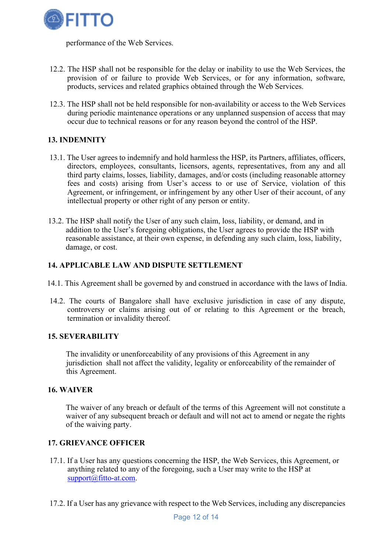

performance of the Web Services.

- 12.2. The HSP shall not be responsible for the delay or inability to use the Web Services, the provision of or failure to provide Web Services, or for any information, software, products, services and related graphics obtained through the Web Services.
- 12.3. The HSP shall not be held responsible for non-availability or access to the Web Services during periodic maintenance operations or any unplanned suspension of access that may occur due to technical reasons or for any reason beyond the control of the HSP.

# 13. INDEMNITY

- 13.1. The User agrees to indemnify and hold harmless the HSP, its Partners, affiliates, officers, directors, employees, consultants, licensors, agents, representatives, from any and all third party claims, losses, liability, damages, and/or costs (including reasonable attorney fees and costs) arising from User's access to or use of Service, violation of this Agreement, or infringement, or infringement by any other User of their account, of any intellectual property or other right of any person or entity.
- 13.2. The HSP shall notify the User of any such claim, loss, liability, or demand, and in addition to the User's foregoing obligations, the User agrees to provide the HSP with reasonable assistance, at their own expense, in defending any such claim, loss, liability, damage, or cost.

#### 14. APPLICABLE LAW AND DISPUTE SETTLEMENT

- 14.1. This Agreement shall be governed by and construed in accordance with the laws of India.
- 14.2. The courts of Bangalore shall have exclusive jurisdiction in case of any dispute, controversy or claims arising out of or relating to this Agreement or the breach, termination or invalidity thereof.

#### 15. SEVERABILITY

The invalidity or unenforceability of any provisions of this Agreement in any jurisdiction shall not affect the validity, legality or enforceability of the remainder of this Agreement.

#### 16. WAIVER

The waiver of any breach or default of the terms of this Agreement will not constitute a waiver of any subsequent breach or default and will not act to amend or negate the rights of the waiving party.

### 17. GRIEVANCE OFFICER

- 17.1. If a User has any questions concerning the HSP, the Web Services, this Agreement, or anything related to any of the foregoing, such a User may write to the HSP at support@fitto-at.com.
- 17.2. If a User has any grievance with respect to the Web Services, including any discrepancies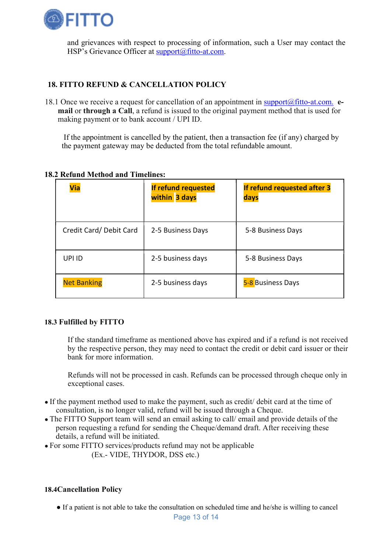

and grievances with respect to processing of information, such a User may contact the HSP's Grievance Officer at support@fitto-at.com.

# 18. FITTO REFUND & CANCELLATION POLICY

18.1 Once we receive a request for cancellation of an appointment in  $\frac{\text{support}(a)\text{fitto-at.com}}{\text{output}(a)}$ . mail or through a Call, a refund is issued to the original payment method that is used for making payment or to bank account / UPI ID.

If the appointment is cancelled by the patient, then a transaction fee (if any) charged by the payment gateway may be deducted from the total refundable amount.

| <b>Via</b>             | If refund requested<br>within 3 days | If refund requested after 3<br>days |
|------------------------|--------------------------------------|-------------------------------------|
| Credit Card/Debit Card | 2-5 Business Days                    | 5-8 Business Days                   |
| UPI ID                 | 2-5 business days                    | 5-8 Business Days                   |
| <b>Net Banking</b>     | 2-5 business days                    | 5-8 Business Days                   |

#### 18.2 Refund Method and Timelines:

#### 18.3 Fulfilled by FITTO

If the standard timeframe as mentioned above has expired and if a refund is not received by the respective person, they may need to contact the credit or debit card issuer or their bank for more information.

Refunds will not be processed in cash. Refunds can be processed through cheque only in exceptional cases.

- If the payment method used to make the payment, such as credit/ debit card at the time of consultation, is no longer valid, refund will be issued through a Cheque.
- The FITTO Support team will send an email asking to call/ email and provide details of the person requesting a refund for sending the Cheque/demand draft. After receiving these details, a refund will be initiated.
- For some FITTO services/products refund may not be applicable

(Ex.- VIDE, THYDOR, DSS etc.)

#### 18.4Cancellation Policy

● If a patient is not able to take the consultation on scheduled time and he/she is willing to cancel